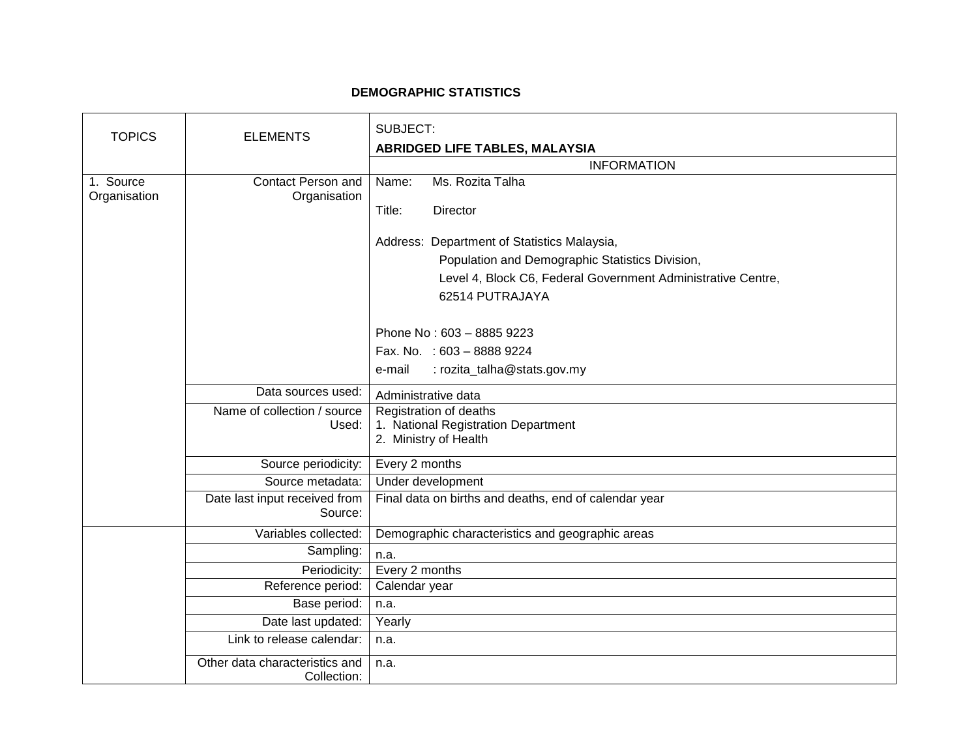## **DEMOGRAPHIC STATISTICS**

| <b>TOPICS</b> | <b>ELEMENTS</b>                | SUBJECT:                                                     |
|---------------|--------------------------------|--------------------------------------------------------------|
|               |                                | ABRIDGED LIFE TABLES, MALAYSIA                               |
|               |                                | <b>INFORMATION</b>                                           |
| 1. Source     | <b>Contact Person and</b>      | Ms. Rozita Talha<br>Name:                                    |
| Organisation  | Organisation                   | Title:<br>Director                                           |
|               |                                |                                                              |
|               |                                | Address: Department of Statistics Malaysia,                  |
|               |                                | Population and Demographic Statistics Division,              |
|               |                                | Level 4, Block C6, Federal Government Administrative Centre, |
|               |                                | 62514 PUTRAJAYA                                              |
|               |                                |                                                              |
|               |                                | Phone No: 603 - 8885 9223                                    |
|               |                                | Fax. No. : 603 - 8888 9224                                   |
|               |                                | : rozita_talha@stats.gov.my<br>e-mail                        |
|               | Data sources used:             | Administrative data                                          |
|               | Name of collection / source    | Registration of deaths                                       |
|               | Used:                          | 1. National Registration Department                          |
|               |                                | 2. Ministry of Health                                        |
|               | Source periodicity:            | Every 2 months                                               |
|               | Source metadata:               | Under development                                            |
|               | Date last input received from  | Final data on births and deaths, end of calendar year        |
|               | Source:                        |                                                              |
|               | Variables collected:           | Demographic characteristics and geographic areas             |
|               | Sampling:                      | n.a.                                                         |
|               | Periodicity:                   | Every 2 months                                               |
|               | Reference period:              | Calendar year                                                |
|               | Base period:                   | n.a.                                                         |
|               | Date last updated:             | Yearly                                                       |
|               | Link to release calendar:      | n.a.                                                         |
|               | Other data characteristics and | n.a.                                                         |
|               | Collection:                    |                                                              |